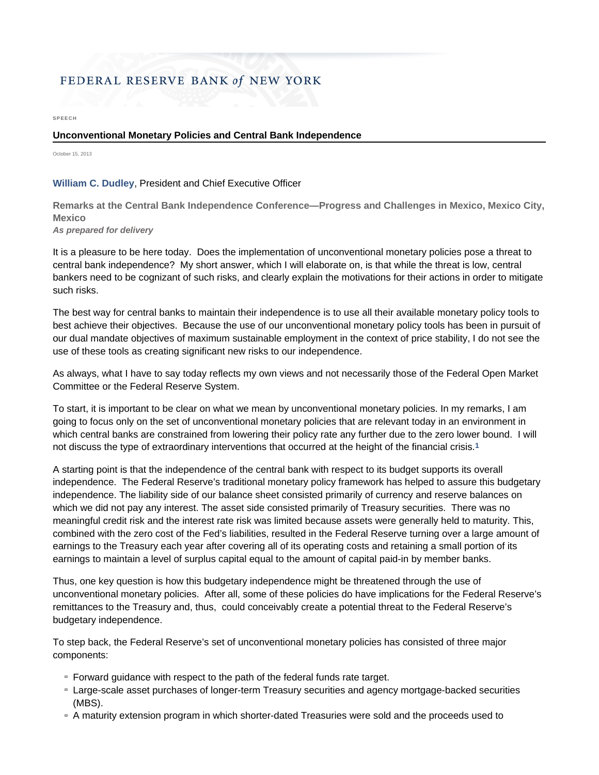## FEDERAL RESERVE BANK of NEW YORK

**SPEECH** 

## **Unconventional Monetary Policies and Central Bank Independence**

October 15, 2013

## **William C. Dudley**, President and Chief Executive Officer

**Remarks at the Central Bank Independence Conference—Progress and Challenges in Mexico, Mexico City, Mexico**

*As prepared for delivery*

It is a pleasure to be here today. Does the implementation of unconventional monetary policies pose a threat to central bank independence? My short answer, which I will elaborate on, is that while the threat is low, central bankers need to be cognizant of such risks, and clearly explain the motivations for their actions in order to mitigate such risks.

The best way for central banks to maintain their independence is to use all their available monetary policy tools to best achieve their objectives. Because the use of our unconventional monetary policy tools has been in pursuit of our dual mandate objectives of maximum sustainable employment in the context of price stability, I do not see the use of these tools as creating significant new risks to our independence.

As always, what I have to say today reflects my own views and not necessarily those of the Federal Open Market Committee or the Federal Reserve System.

To start, it is important to be clear on what we mean by unconventional monetary policies. In my remarks, I am going to focus only on the set of unconventional monetary policies that are relevant today in an environment in which central banks are constrained from lowering their policy rate any further due to the zero lower bound. I will not discuss the type of extraordinary interventions that occurred at the height of the financial crisis.**1**

A starting point is that the independence of the central bank with respect to its budget supports its overall independence. The Federal Reserve's traditional monetary policy framework has helped to assure this budgetary independence. The liability side of our balance sheet consisted primarily of currency and reserve balances on which we did not pay any interest. The asset side consisted primarily of Treasury securities. There was no meaningful credit risk and the interest rate risk was limited because assets were generally held to maturity. This, combined with the zero cost of the Fed's liabilities, resulted in the Federal Reserve turning over a large amount of earnings to the Treasury each year after covering all of its operating costs and retaining a small portion of its earnings to maintain a level of surplus capital equal to the amount of capital paid-in by member banks.

Thus, one key question is how this budgetary independence might be threatened through the use of unconventional monetary policies. After all, some of these policies do have implications for the Federal Reserve's remittances to the Treasury and, thus, could conceivably create a potential threat to the Federal Reserve's budgetary independence.

To step back, the Federal Reserve's set of unconventional monetary policies has consisted of three major components:

- **Forward guidance with respect to the path of the federal funds rate target.**
- Large-scale asset purchases of longer-term Treasury securities and agency mortgage-backed securities (MBS).
- A maturity extension program in which shorter-dated Treasuries were sold and the proceeds used to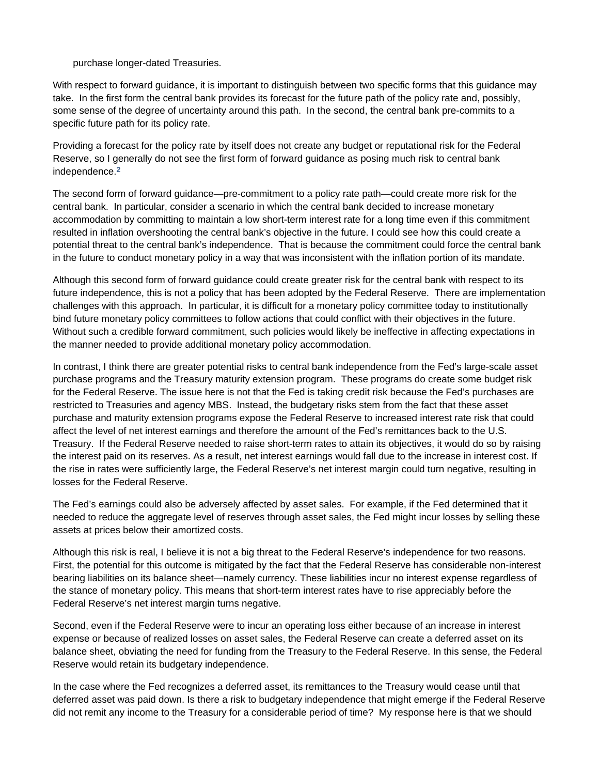purchase longer-dated Treasuries.

With respect to forward guidance, it is important to distinguish between two specific forms that this guidance may take. In the first form the central bank provides its forecast for the future path of the policy rate and, possibly, some sense of the degree of uncertainty around this path. In the second, the central bank pre-commits to a specific future path for its policy rate.

Providing a forecast for the policy rate by itself does not create any budget or reputational risk for the Federal Reserve, so I generally do not see the first form of forward guidance as posing much risk to central bank independence.**2**

The second form of forward guidance—pre-commitment to a policy rate path—could create more risk for the central bank. In particular, consider a scenario in which the central bank decided to increase monetary accommodation by committing to maintain a low short-term interest rate for a long time even if this commitment resulted in inflation overshooting the central bank's objective in the future. I could see how this could create a potential threat to the central bank's independence. That is because the commitment could force the central bank in the future to conduct monetary policy in a way that was inconsistent with the inflation portion of its mandate.

Although this second form of forward guidance could create greater risk for the central bank with respect to its future independence, this is not a policy that has been adopted by the Federal Reserve. There are implementation challenges with this approach. In particular, it is difficult for a monetary policy committee today to institutionally bind future monetary policy committees to follow actions that could conflict with their objectives in the future. Without such a credible forward commitment, such policies would likely be ineffective in affecting expectations in the manner needed to provide additional monetary policy accommodation.

In contrast, I think there are greater potential risks to central bank independence from the Fed's large-scale asset purchase programs and the Treasury maturity extension program. These programs do create some budget risk for the Federal Reserve. The issue here is not that the Fed is taking credit risk because the Fed's purchases are restricted to Treasuries and agency MBS. Instead, the budgetary risks stem from the fact that these asset purchase and maturity extension programs expose the Federal Reserve to increased interest rate risk that could affect the level of net interest earnings and therefore the amount of the Fed's remittances back to the U.S. Treasury. If the Federal Reserve needed to raise short-term rates to attain its objectives, it would do so by raising the interest paid on its reserves. As a result, net interest earnings would fall due to the increase in interest cost. If the rise in rates were sufficiently large, the Federal Reserve's net interest margin could turn negative, resulting in losses for the Federal Reserve.

The Fed's earnings could also be adversely affected by asset sales. For example, if the Fed determined that it needed to reduce the aggregate level of reserves through asset sales, the Fed might incur losses by selling these assets at prices below their amortized costs.

Although this risk is real, I believe it is not a big threat to the Federal Reserve's independence for two reasons. First, the potential for this outcome is mitigated by the fact that the Federal Reserve has considerable non-interest bearing liabilities on its balance sheet—namely currency. These liabilities incur no interest expense regardless of the stance of monetary policy. This means that short-term interest rates have to rise appreciably before the Federal Reserve's net interest margin turns negative.

Second, even if the Federal Reserve were to incur an operating loss either because of an increase in interest expense or because of realized losses on asset sales, the Federal Reserve can create a deferred asset on its balance sheet, obviating the need for funding from the Treasury to the Federal Reserve. In this sense, the Federal Reserve would retain its budgetary independence.

In the case where the Fed recognizes a deferred asset, its remittances to the Treasury would cease until that deferred asset was paid down. Is there a risk to budgetary independence that might emerge if the Federal Reserve did not remit any income to the Treasury for a considerable period of time? My response here is that we should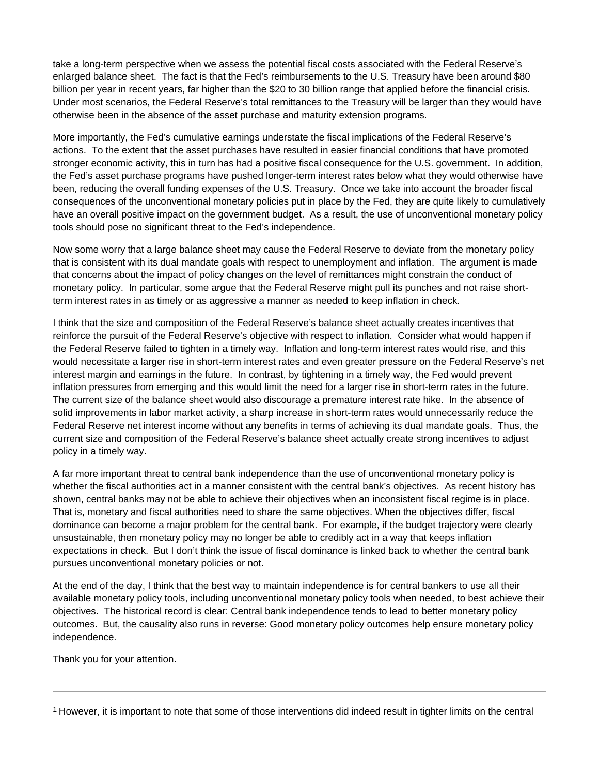take a long-term perspective when we assess the potential fiscal costs associated with the Federal Reserve's enlarged balance sheet. The fact is that the Fed's reimbursements to the U.S. Treasury have been around \$80 billion per year in recent years, far higher than the \$20 to 30 billion range that applied before the financial crisis. Under most scenarios, the Federal Reserve's total remittances to the Treasury will be larger than they would have otherwise been in the absence of the asset purchase and maturity extension programs.

More importantly, the Fed's cumulative earnings understate the fiscal implications of the Federal Reserve's actions. To the extent that the asset purchases have resulted in easier financial conditions that have promoted stronger economic activity, this in turn has had a positive fiscal consequence for the U.S. government. In addition, the Fed's asset purchase programs have pushed longer-term interest rates below what they would otherwise have been, reducing the overall funding expenses of the U.S. Treasury. Once we take into account the broader fiscal consequences of the unconventional monetary policies put in place by the Fed, they are quite likely to cumulatively have an overall positive impact on the government budget. As a result, the use of unconventional monetary policy tools should pose no significant threat to the Fed's independence.

Now some worry that a large balance sheet may cause the Federal Reserve to deviate from the monetary policy that is consistent with its dual mandate goals with respect to unemployment and inflation. The argument is made that concerns about the impact of policy changes on the level of remittances might constrain the conduct of monetary policy. In particular, some argue that the Federal Reserve might pull its punches and not raise shortterm interest rates in as timely or as aggressive a manner as needed to keep inflation in check.

I think that the size and composition of the Federal Reserve's balance sheet actually creates incentives that reinforce the pursuit of the Federal Reserve's objective with respect to inflation. Consider what would happen if the Federal Reserve failed to tighten in a timely way. Inflation and long-term interest rates would rise, and this would necessitate a larger rise in short-term interest rates and even greater pressure on the Federal Reserve's net interest margin and earnings in the future. In contrast, by tightening in a timely way, the Fed would prevent inflation pressures from emerging and this would limit the need for a larger rise in short-term rates in the future. The current size of the balance sheet would also discourage a premature interest rate hike. In the absence of solid improvements in labor market activity, a sharp increase in short-term rates would unnecessarily reduce the Federal Reserve net interest income without any benefits in terms of achieving its dual mandate goals. Thus, the current size and composition of the Federal Reserve's balance sheet actually create strong incentives to adjust policy in a timely way.

A far more important threat to central bank independence than the use of unconventional monetary policy is whether the fiscal authorities act in a manner consistent with the central bank's objectives. As recent history has shown, central banks may not be able to achieve their objectives when an inconsistent fiscal regime is in place. That is, monetary and fiscal authorities need to share the same objectives. When the objectives differ, fiscal dominance can become a major problem for the central bank. For example, if the budget trajectory were clearly unsustainable, then monetary policy may no longer be able to credibly act in a way that keeps inflation expectations in check. But I don't think the issue of fiscal dominance is linked back to whether the central bank pursues unconventional monetary policies or not.

At the end of the day, I think that the best way to maintain independence is for central bankers to use all their available monetary policy tools, including unconventional monetary policy tools when needed, to best achieve their objectives. The historical record is clear: Central bank independence tends to lead to better monetary policy outcomes. But, the causality also runs in reverse: Good monetary policy outcomes help ensure monetary policy independence.

Thank you for your attention.

1 However, it is important to note that some of those interventions did indeed result in tighter limits on the central